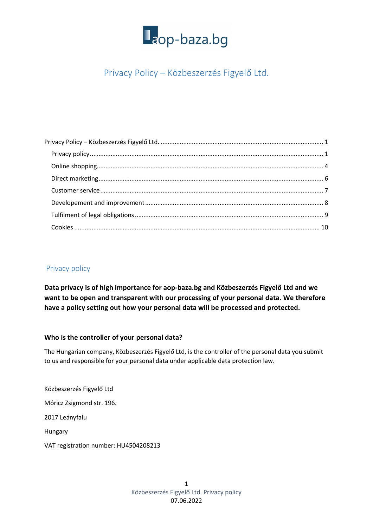

## Privacy Policy – Közbeszerzés Figyelő Ltd.

## Privacy policy

Data privacy is of high importance for aop-baza.bg and Közbeszerzés Figyelő Ltd and we want to be open and transparent with our processing of your personal data. We therefore have a policy setting out how your personal data will be processed and protected.

#### Who is the controller of your personal data?

The Hungarian company, Közbeszerzés Figyelő Ltd, is the controller of the personal data you submit to us and responsible for your personal data under applicable data protection law.

Közbeszerzés Figyelő Ltd

Móricz Zsigmond str. 196.

2017 Leányfalu

Hungary

VAT registration number: HU4504208213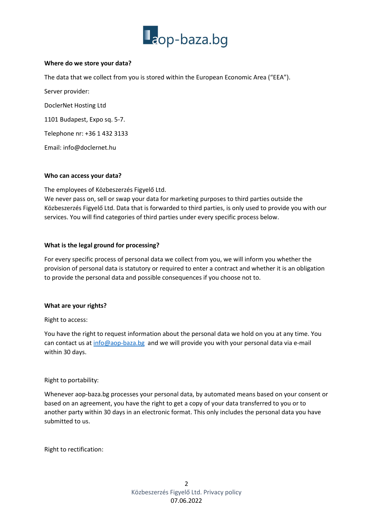

#### Where do we store your data?

The data that we collect from you is stored within the European Economic Area ("EEA").

Server provider:

DoclerNet Hosting Ltd

1101 Budapest, Expo sq. 5-7.

Telephone nr: +36 1 432 3133

Email: info@doclernet.hu

#### Who can access your data?

The employees of Közbeszerzés Figyelő Ltd.

We never pass on, sell or swap your data for marketing purposes to third parties outside the Közbeszerzés Figyelő Ltd. Data that is forwarded to third parties, is only used to provide you with our services. You will find categories of third parties under every specific process below.

#### What is the legal ground for processing?

For every specific process of personal data we collect from you, we will inform you whether the provision of personal data is statutory or required to enter a contract and whether it is an obligation to provide the personal data and possible consequences if you choose not to.

#### What are your rights?

Right to access:

You have the right to request information about the personal data we hold on you at any time. You can contact us at info@aop-baza.bg and we will provide you with your personal data via e-mail within 30 days.

Right to portability:

Whenever aop-baza.bg processes your personal data, by automated means based on your consent or based on an agreement, you have the right to get a copy of your data transferred to you or to another party within 30 days in an electronic format. This only includes the personal data you have submitted to us.

Right to rectification: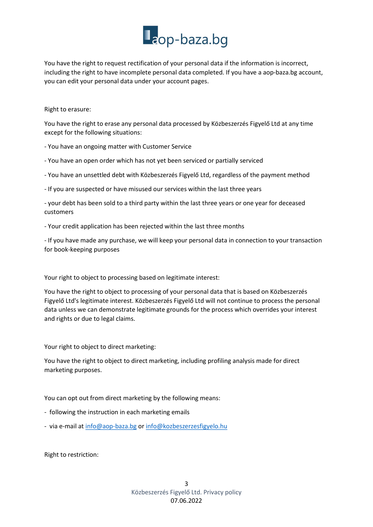You have the right to request rectification of your personal data if the information is incorrect, including the right to have incomplete personal data completed. If you have a aop-baza.bg account, you can edit your personal data under your account pages.

#### Right to erasure:

You have the right to erase any personal data processed by Közbeszerzés Figyelő Ltd at any time except for the following situations:

- You have an ongoing matter with Customer Service

- You have an open order which has not yet been serviced or partially serviced

- You have an unsettled debt with Közbeszerzés Figyelő Ltd, regardless of the payment method

- If you are suspected or have misused our services within the last three years

- your debt has been sold to a third party within the last three years or one year for deceased customers

- Your credit application has been rejected within the last three months

- If you have made any purchase, we will keep your personal data in connection to your transaction for book-keeping purposes

Your right to object to processing based on legitimate interest:

You have the right to object to processing of your personal data that is based on Közbeszerzés Figyelő Ltd's legitimate interest. Közbeszerzés Figyelő Ltd will not continue to process the personal data unless we can demonstrate legitimate grounds for the process which overrides your interest and rights or due to legal claims.

Your right to object to direct marketing:

You have the right to object to direct marketing, including profiling analysis made for direct marketing purposes.

You can opt out from direct marketing by the following means:

- following the instruction in each marketing emails
- via e-mail at info@aop-baza.bg or info@kozbeszerzesfigyelo.hu

Right to restriction: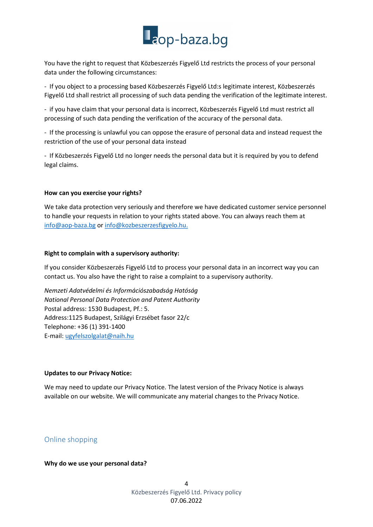You have the right to request that Közbeszerzés Figyelő Ltd restricts the process of your personal data under the following circumstances:

- If you object to a processing based Közbeszerzés Figyelő Ltd:s legitimate interest, Közbeszerzés Figyelő Ltd shall restrict all processing of such data pending the verification of the legitimate interest.

- if you have claim that your personal data is incorrect, Közbeszerzés Figyelő Ltd must restrict all processing of such data pending the verification of the accuracy of the personal data.

- If the processing is unlawful you can oppose the erasure of personal data and instead request the restriction of the use of your personal data instead

- If Közbeszerzés Figyelő Ltd no longer needs the personal data but it is required by you to defend legal claims.

#### How can you exercise your rights?

We take data protection very seriously and therefore we have dedicated customer service personnel to handle your requests in relation to your rights stated above. You can always reach them at info@aop-baza.bg or info@kozbeszerzesfigyelo.hu.

#### Right to complain with a supervisory authority:

If you consider Közbeszerzés Figyelő Ltd to process your personal data in an incorrect way you can contact us. You also have the right to raise a complaint to a supervisory authority.

Nemzeti Adatvédelmi és Információszabadság Hatóság National Personal Data Protection and Patent Authority Postal address: 1530 Budapest, Pf.: 5. Address:1125 Budapest, Szilágyi Erzsébet fasor 22/c Telephone: +36 (1) 391-1400 E-mail: ugyfelszolgalat@naih.hu

#### Updates to our Privacy Notice:

We may need to update our Privacy Notice. The latest version of the Privacy Notice is always available on our website. We will communicate any material changes to the Privacy Notice.

### Online shopping

Why do we use your personal data?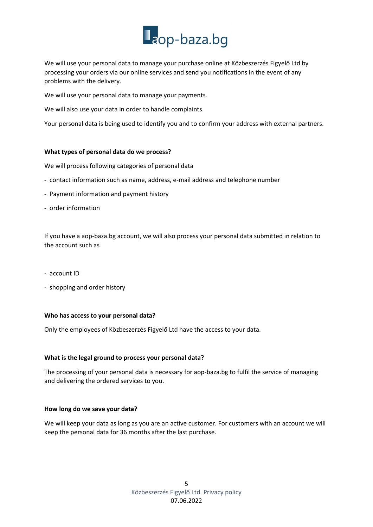We will use your personal data to manage your purchase online at Közbeszerzés Figyelő Ltd by processing your orders via our online services and send you notifications in the event of any problems with the delivery.

We will use your personal data to manage your payments.

We will also use your data in order to handle complaints.

Your personal data is being used to identify you and to confirm your address with external partners.

#### What types of personal data do we process?

We will process following categories of personal data

- contact information such as name, address, e-mail address and telephone number
- Payment information and payment history
- order information

If you have a aop-baza.bg account, we will also process your personal data submitted in relation to the account such as

- account ID
- shopping and order history

#### Who has access to your personal data?

Only the employees of Közbeszerzés Figyelő Ltd have the access to your data.

#### What is the legal ground to process your personal data?

The processing of your personal data is necessary for aop-baza.bg to fulfil the service of managing and delivering the ordered services to you.

#### How long do we save your data?

We will keep your data as long as you are an active customer. For customers with an account we will keep the personal data for 36 months after the last purchase.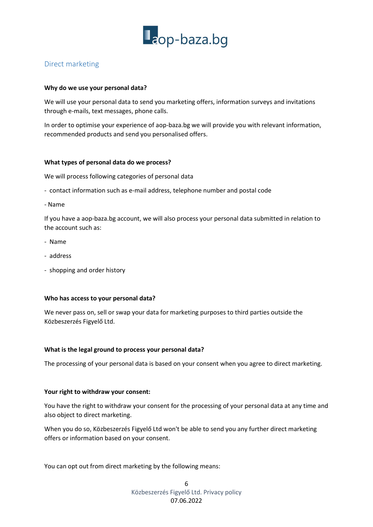

## Direct marketing

#### Why do we use your personal data?

We will use your personal data to send you marketing offers, information surveys and invitations through e-mails, text messages, phone calls.

In order to optimise your experience of aop-baza.bg we will provide you with relevant information, recommended products and send you personalised offers.

#### What types of personal data do we process?

We will process following categories of personal data

- contact information such as e-mail address, telephone number and postal code
- Name

If you have a aop-baza.bg account, we will also process your personal data submitted in relation to the account such as:

- Name
- address
- shopping and order history

#### Who has access to your personal data?

We never pass on, sell or swap your data for marketing purposes to third parties outside the Közbeszerzés Figyelő Ltd.

#### What is the legal ground to process your personal data?

The processing of your personal data is based on your consent when you agree to direct marketing.

#### Your right to withdraw your consent:

You have the right to withdraw your consent for the processing of your personal data at any time and also object to direct marketing.

When you do so, Közbeszerzés Figyelő Ltd won't be able to send you any further direct marketing offers or information based on your consent.

You can opt out from direct marketing by the following means: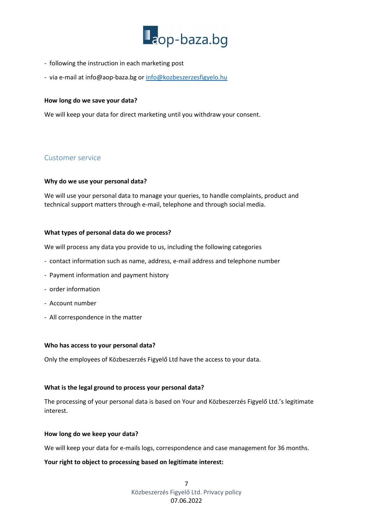

- following the instruction in each marketing post
- via e-mail at info@aop-baza.bg or info@kozbeszerzesfigyelo.hu

#### How long do we save your data?

We will keep your data for direct marketing until you withdraw your consent.

#### Customer service

#### Why do we use your personal data?

We will use your personal data to manage your queries, to handle complaints, product and technical support matters through e-mail, telephone and through social media.

#### What types of personal data do we process?

We will process any data you provide to us, including the following categories

- contact information such as name, address, e-mail address and telephone number
- Payment information and payment history
- order information
- Account number
- All correspondence in the matter

#### Who has access to your personal data?

Only the employees of Közbeszerzés Figyelő Ltd have the access to your data.

#### What is the legal ground to process your personal data?

The processing of your personal data is based on Your and Közbeszerzés Figyelő Ltd.'s legitimate interest.

#### How long do we keep your data?

We will keep your data for e-mails logs, correspondence and case management for 36 months.

#### Your right to object to processing based on legitimate interest:

7 Közbeszerzés Figyelő Ltd. Privacy policy 07.06.2022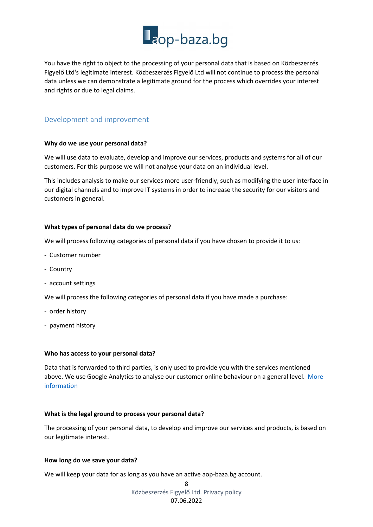You have the right to object to the processing of your personal data that is based on Közbeszerzés Figyelő Ltd's legitimate interest. Közbeszerzés Figyelő Ltd will not continue to process the personal data unless we can demonstrate a legitimate ground for the process which overrides your interest and rights or due to legal claims.

## Development and improvement

### Why do we use your personal data?

We will use data to evaluate, develop and improve our services, products and systems for all of our customers. For this purpose we will not analyse your data on an individual level.

This includes analysis to make our services more user-friendly, such as modifying the user interface in our digital channels and to improve IT systems in order to increase the security for our visitors and customers in general.

#### What types of personal data do we process?

We will process following categories of personal data if you have chosen to provide it to us:

- Customer number
- Country
- account settings

We will process the following categories of personal data if you have made a purchase:

- order history
- payment history

#### Who has access to your personal data?

Data that is forwarded to third parties, is only used to provide you with the services mentioned above. We use Google Analytics to analyse our customer online behaviour on a general level. More information

### What is the legal ground to process your personal data?

The processing of your personal data, to develop and improve our services and products, is based on our legitimate interest.

#### How long do we save your data?

We will keep your data for as long as you have an active aop-baza.bg account.

8 Közbeszerzés Figyelő Ltd. Privacy policy 07.06.2022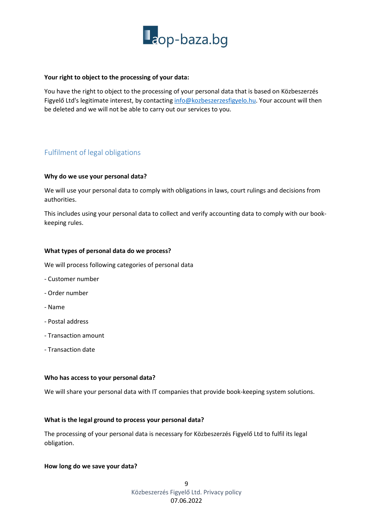

#### Your right to object to the processing of your data:

You have the right to object to the processing of your personal data that is based on Közbeszerzés Figyelő Ltd's legitimate interest, by contacting info@kozbeszerzesfigyelo.hu. Your account will then be deleted and we will not be able to carry out our services to you.

## Fulfilment of legal obligations

#### Why do we use your personal data?

We will use your personal data to comply with obligations in laws, court rulings and decisions from authorities.

This includes using your personal data to collect and verify accounting data to comply with our bookkeeping rules.

#### What types of personal data do we process?

We will process following categories of personal data

- Customer number
- Order number
- Name
- Postal address
- Transaction amount
- Transaction date

#### Who has access to your personal data?

We will share your personal data with IT companies that provide book-keeping system solutions.

#### What is the legal ground to process your personal data?

The processing of your personal data is necessary for Közbeszerzés Figyelő Ltd to fulfil its legal obligation.

#### How long do we save your data?